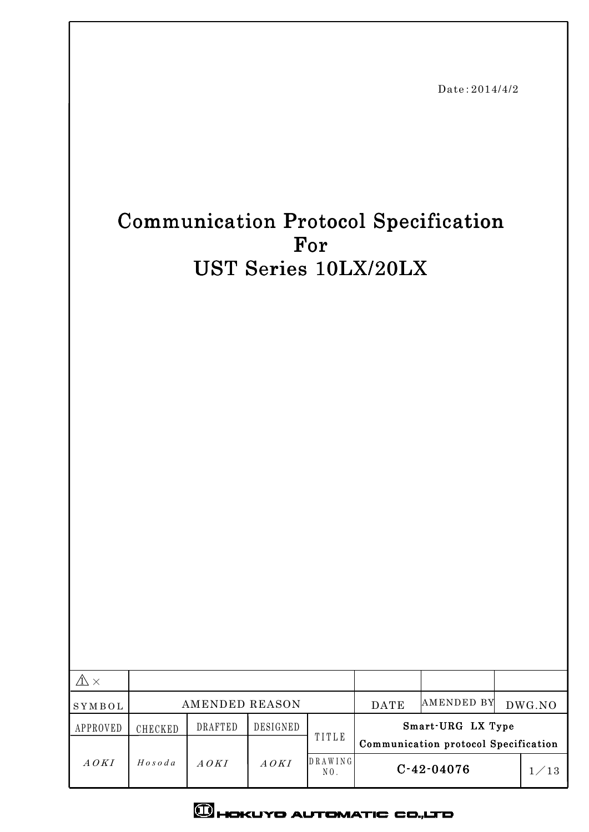|                                                                                                         |                         |                |          | For                        | UST Series 10LX/20LX | Date: 2014/4/2<br><b>Communication Protocol Specification</b> |                                        |
|---------------------------------------------------------------------------------------------------------|-------------------------|----------------|----------|----------------------------|----------------------|---------------------------------------------------------------|----------------------------------------|
| $\mathbb{A} \times$                                                                                     |                         |                |          |                            |                      | AMENDED BY                                                    |                                        |
| $\operatorname{S} \operatorname{Y} \operatorname{M} \operatorname{B} \operatorname{O} \operatorname{L}$ |                         | AMENDED REASON |          |                            | DATE                 |                                                               | $\operatorname{DWG}.\operatorname{NO}$ |
| APPROVED                                                                                                | CHECKED                 | DRAFTED        | DESIGNED | TITLE                      |                      | Smart-URG LX Type<br>Communication protocol Specification     |                                        |
| $\it{A\,OKI}$                                                                                           | $H\, o\, s\, o\, d\, a$ | $A$ $O K I$    | A OKI    | DRAWING<br>$\mbox{N}\,0$ . |                      | $C - 42 - 04076$                                              | 1/13                                   |

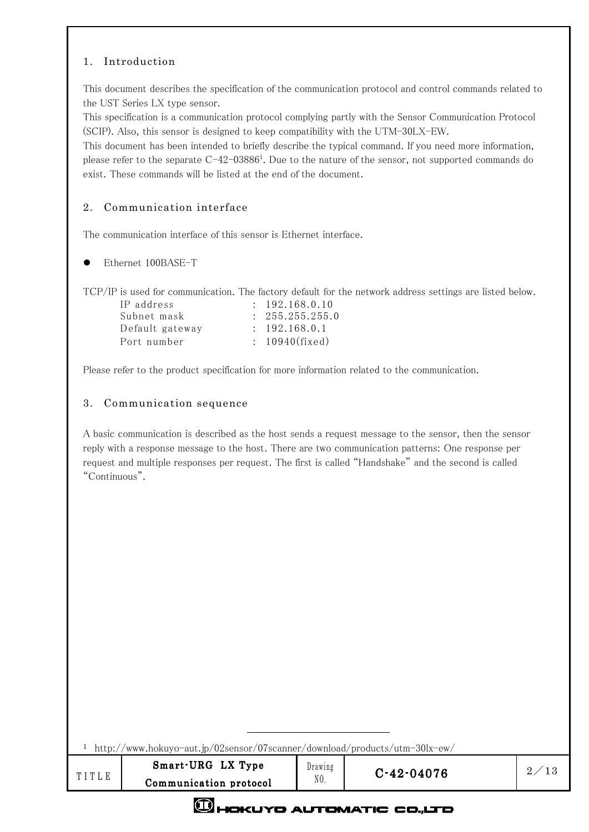## 1. Introduction

This document describes the specification of the communication protocol and control commands related to the UST Series LX type sensor.

This specification is a communication protocol complying partly with the Sensor Communication Protocol (SCIP). Also, this sensor is designed to keep compatibility with the UTM-30LX-EW.

This document has been intended to briefly describe the typical command. If you need more information, please refer to the separate  $C$ -42-03886<sup>1</sup>. Due to the nature of the sensor, not supported commands do exist. These commands will be listed at the end of the document.

### 2. Communication interface

The communication interface of this sensor is Ethernet interface.

Ethernet 100BASE-T

TCP/IP is used for communication. The factory default for the network address settings are listed below.

| IP address      | $\div$ 192.168.0.10 |
|-----------------|---------------------|
| Subnet mask     | : 255.255.255.0     |
| Default gateway | $\div$ 192.168.0.1  |
| Port number     | $: 10940$ (fixed)   |

Please refer to the product specification for more information related to the communication.

#### 3. Communication sequence

A basic communication is described as the host sends a request message to the sensor, then the sensor reply with a response message to the host. There are two communication patterns: One response per request and multiple responses per request. The first is called "Handshake" and the second is called "Continuous".

1 http://www.hokuyo-aut.jp/02sensor/07scanner/download/products/utm-30lx-ew/

 $\overline{a}$ 

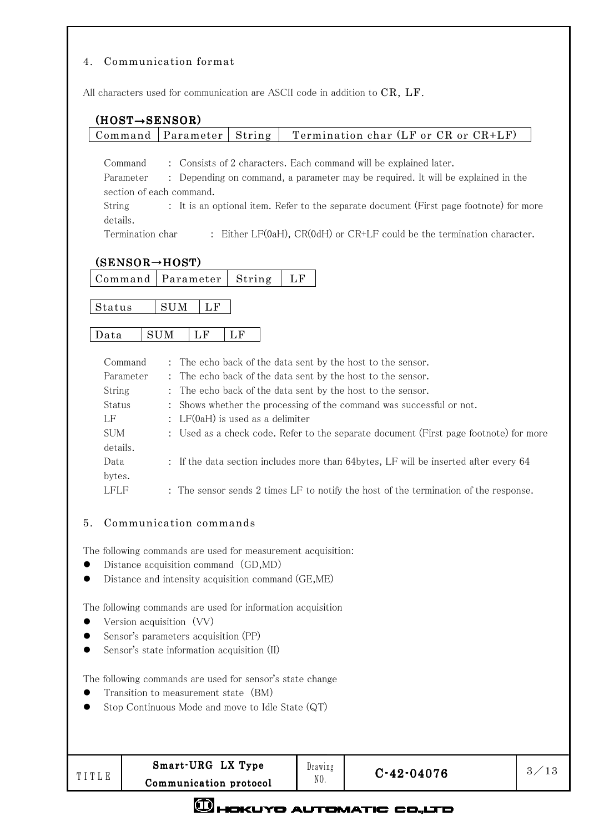### 4. Communication format

All characters used for communication are ASCII code in addition to CR, LF.

## (HOST→SENSOR)

### Command | Parameter | String | Termination char (LF or CR or  $CR+LF$ )

Command : Consists of 2 characters. Each command will be explained later.

Parameter : Depending on command, a parameter may be required. It will be explained in the section of each command.

String : It is an optional item. Refer to the separate document (First page footnote) for more details.

Termination char : Either LF(0aH), CR(0dH) or CR+LF could be the termination character.

## $(SENSOR \rightarrow HOST)$

|  | Command   Parameter   String   LF |  |  |
|--|-----------------------------------|--|--|
|--|-----------------------------------|--|--|

Status SUM LF

# Data SUM LF LF

| Command    | : The echo back of the data sent by the host to the sensor.                           |
|------------|---------------------------------------------------------------------------------------|
| Parameter  | : The echo back of the data sent by the host to the sensor.                           |
| String     | : The echo back of the data sent by the host to the sensor.                           |
| Status     | : Shows whether the processing of the command was successful or not.                  |
| LF         | : $LF(OaH)$ is used as a delimiter                                                    |
| <b>SUM</b> | : Used as a check code. Refer to the separate document (First page footnote) for more |
| details.   |                                                                                       |
| Data       | : If the data section includes more than 64bytes, LF will be inserted after every 64  |
| bytes.     |                                                                                       |
| LFLF       | : The sensor sends 2 times LF to notify the host of the termination of the response.  |

### 5. Communication commands

The following commands are used for measurement acquisition:

- Distance acquisition command (GD,MD)
- Distance and intensity acquisition command (GE,ME)

The following commands are used for information acquisition

- Version acquisition (VV)
- Sensor's parameters acquisition (PP)
- Sensor's state information acquisition (II)

The following commands are used for sensor's state change

- Transition to measurement state (BM)
- Stop Continuous Mode and move to Idle State (QT)

Drawing  $N<sub>0</sub>$ .

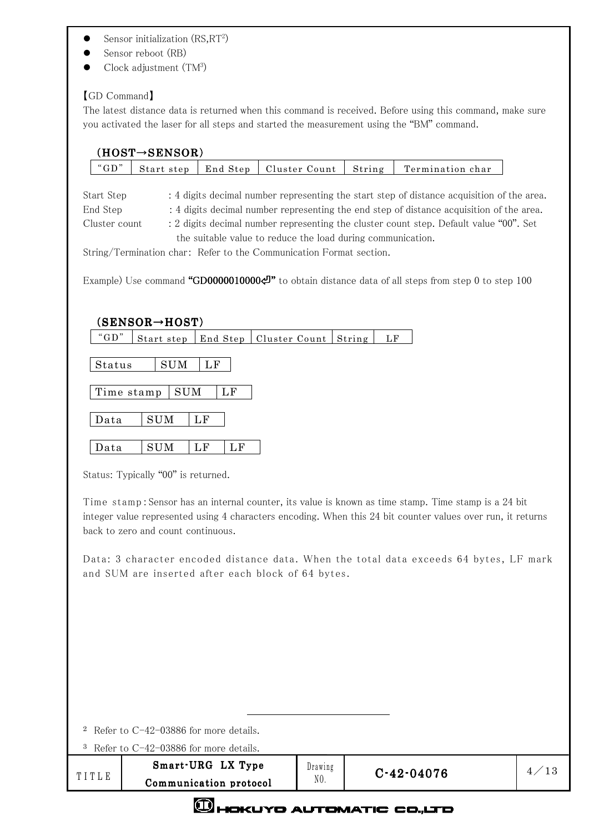- $\bullet$  Sensor initialization (RS, RT<sup>2</sup>)
- Sensor reboot (RB)
- $\bullet$  Clock adjustment (TM<sup>3</sup>)

## 【GD Command】

The latest distance data is returned when this command is received. Before using this command, make sure you activated the laser for all steps and started the measurement using the "BM" command.

|                                         | $(HOST \rightarrow$ SENSOR)                                                                                         |                                                             |               |         |              |                                                                                                                                                                                                                                                                                                                                                                                       |      |
|-----------------------------------------|---------------------------------------------------------------------------------------------------------------------|-------------------------------------------------------------|---------------|---------|--------------|---------------------------------------------------------------------------------------------------------------------------------------------------------------------------------------------------------------------------------------------------------------------------------------------------------------------------------------------------------------------------------------|------|
| "GD"                                    | Start step                                                                                                          | End Step                                                    | Cluster Count |         | String       | Termination char                                                                                                                                                                                                                                                                                                                                                                      |      |
| Start Step<br>End Step<br>Cluster count | String/Termination char: Refer to the Communication Format section.                                                 | the suitable value to reduce the load during communication. |               |         |              | : 4 digits decimal number representing the start step of distance acquisition of the area.<br>: 4 digits decimal number representing the end step of distance acquisition of the area.<br>: 2 digits decimal number representing the cluster count step. Default value "00". Set<br>Example) Use command "GD00000100004" to obtain distance data of all steps from step 0 to step 100 |      |
| " $GD$ "<br>Status<br>Data              | $(\mathtt{SENSOR}{\rightarrow}\mathtt{HOST})$<br>Start step<br><b>SUM</b><br><b>SUM</b><br>Time stamp<br><b>SUM</b> | End Step<br>LF<br>LF<br>LF                                  | Cluster Count |         | String<br>LF |                                                                                                                                                                                                                                                                                                                                                                                       |      |
|                                         |                                                                                                                     |                                                             |               |         |              |                                                                                                                                                                                                                                                                                                                                                                                       |      |
| Data                                    | <b>SUM</b>                                                                                                          | LF<br>LF                                                    |               |         |              |                                                                                                                                                                                                                                                                                                                                                                                       |      |
|                                         | Status: Typically "00" is returned.                                                                                 |                                                             |               |         |              |                                                                                                                                                                                                                                                                                                                                                                                       |      |
|                                         | back to zero and count continuous.                                                                                  |                                                             |               |         |              | Time stamp: Sensor has an internal counter, its value is known as time stamp. Time stamp is a 24 bit<br>integer value represented using 4 characters encoding. When this 24 bit counter values over run, it returns                                                                                                                                                                   |      |
|                                         | and SUM are inserted after each block of 64 bytes.                                                                  |                                                             |               |         |              | Data: 3 character encoded distance data. When the total data exceeds 64 bytes, LF mark                                                                                                                                                                                                                                                                                                |      |
|                                         |                                                                                                                     |                                                             |               |         |              |                                                                                                                                                                                                                                                                                                                                                                                       |      |
|                                         |                                                                                                                     |                                                             |               |         |              |                                                                                                                                                                                                                                                                                                                                                                                       |      |
|                                         |                                                                                                                     |                                                             |               |         |              |                                                                                                                                                                                                                                                                                                                                                                                       |      |
|                                         | <sup>2</sup> Refer to $C-42-03886$ for more details.                                                                |                                                             |               |         |              |                                                                                                                                                                                                                                                                                                                                                                                       |      |
|                                         | <sup>3</sup> Refer to C-42-03886 for more details.                                                                  |                                                             |               |         |              |                                                                                                                                                                                                                                                                                                                                                                                       |      |
| TITLE                                   |                                                                                                                     | Smart-URG LX Type                                           |               | Drawing |              | $C - 42 - 04076$                                                                                                                                                                                                                                                                                                                                                                      | 4/15 |
|                                         |                                                                                                                     | Communication protocol                                      |               | NO.     |              |                                                                                                                                                                                                                                                                                                                                                                                       |      |



Communication protocol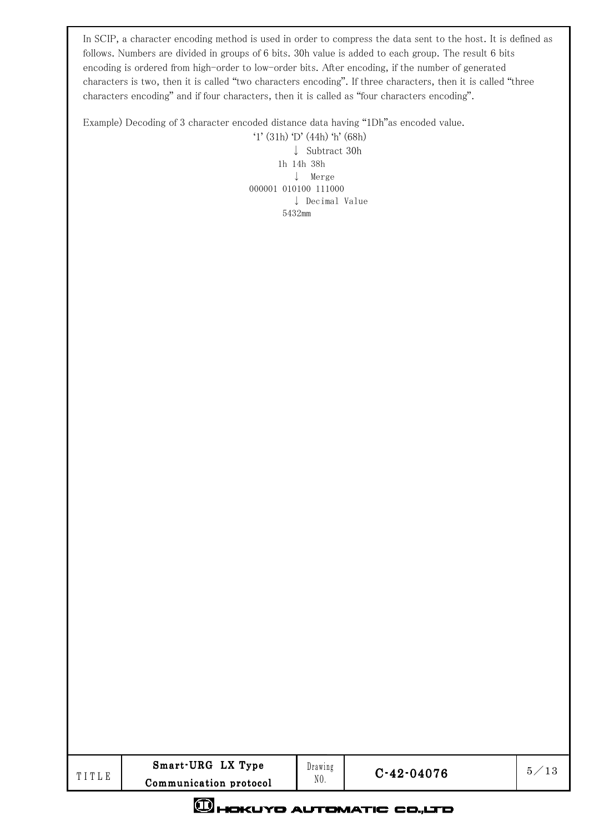In SCIP, a character encoding method is used in order to compress the data sent to the host. It is defined as follows. Numbers are divided in groups of 6 bits. 30h value is added to each group. The result 6 bits encoding is ordered from high-order to low-order bits. After encoding, if the number of generated characters is two, then it is called "two characters encoding". If three characters, then it is called "three characters encoding" and if four characters, then it is called as "four characters encoding".

Example) Decoding of 3 character encoded distance data having "1Dh"as encoded value.

 '1' (31h) 'D' (44h) 'h' (68h) ↓ Subtract 30h 1h 14h 38h ↓ Merge 000001 010100 111000 ↓ Decimal Value 5432mm

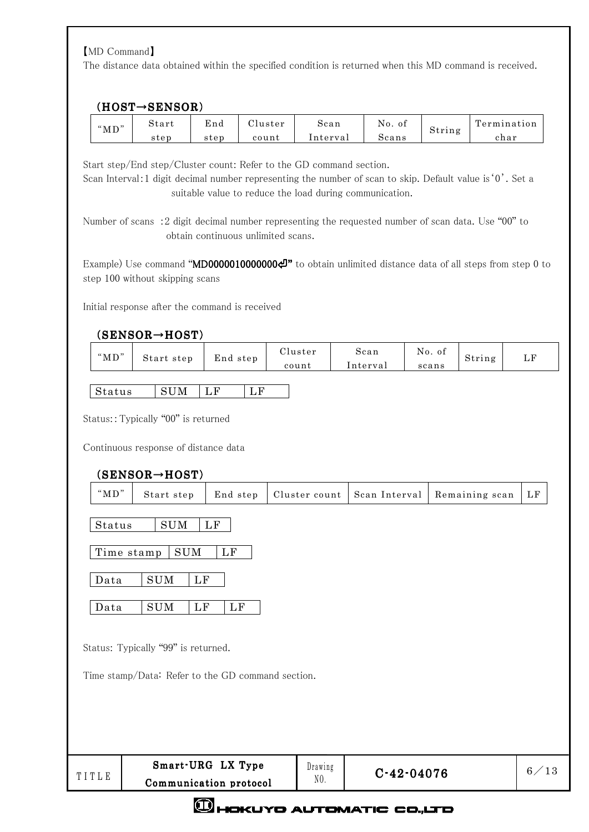# 【MD Command】

The distance data obtained within the specified condition is returned when this MD command is received.

## (HOST→SENSOR)

| " $MD"$ | Start | End  | Jluster | Scan     | No.<br>01 | $\sim$ | l'ermination |
|---------|-------|------|---------|----------|-----------|--------|--------------|
|         | step  | step | count   | Interval | Scans     | String | char         |

Start step/End step/Cluster count: Refer to the GD command section.

Scan Interval:1 digit decimal number representing the number of scan to skip. Default value is'0'. Set a suitable value to reduce the load during communication.

Number of scans :2 digit decimal number representing the requested number of scan data. Use "00" to obtain continuous unlimited scans.

Example) Use command "MD00000100000000 " to obtain unlimited distance data of all steps from step 0 to step 100 without skipping scans

Initial response after the command is received

## (SENSOR→HOST)

| " $MD$ " | Start step | End step             | Cluster<br>count | Scan<br>Interval | No. of<br>scans | String | LF |
|----------|------------|----------------------|------------------|------------------|-----------------|--------|----|
| Status   | <b>SUM</b> | ĹF<br>$\mathbf{L}$ F |                  |                  |                 |        |    |

Status::Typically "00" is returned

Continuous response of distance data

|                | $(SENSOR \rightarrow HOST)$                                 |                        |                |               |                |          |
|----------------|-------------------------------------------------------------|------------------------|----------------|---------------|----------------|----------|
| " $MD"$        | Start step                                                  | End step               | Cluster count  | Scan Interval | Remaining scan | $\rm LF$ |
| Status<br>Data | <b>SUM</b><br>$\mathop{\rm SUM}$<br>Time stamp<br>SUM<br>LF | LF<br>LF               |                |               |                |          |
| Data           | SUM<br>LF<br>Status: Typically "99" is returned.            | $\rm LF$               |                |               |                |          |
|                | Time stamp/Data: Refer to the GD command section.           |                        |                |               |                |          |
| TITLE          |                                                             | Smart-URG LX Type      | Drawing<br>NO. | $C-42-04076$  |                | 6/13     |
|                | $\sim$                                                      | Communication protocol |                |               |                |          |

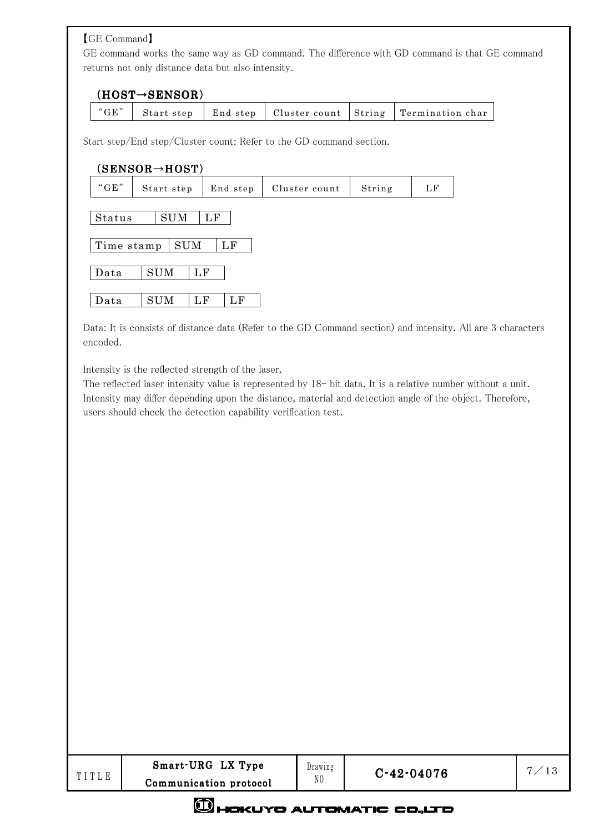【GE Command】

GE command works the same way as GD command. The difference with GD command is that GE command returns not only distance data but also intensity.

# (HOST→SENSOR)

|  | $\degree$ GE" |  |  |  |  | Start step   End step   Cluster count   String   Termination char |
|--|---------------|--|--|--|--|-------------------------------------------------------------------|
|--|---------------|--|--|--|--|-------------------------------------------------------------------|

Start step/End step/Cluster count: Refer to the GD command section.

### (SENSOR→HOST)

| " $GE$ "   | Start step                       | End step | Cluster count | String | LF |  |  |  |  |  |  |
|------------|----------------------------------|----------|---------------|--------|----|--|--|--|--|--|--|
|            | <b>SUM</b><br>Status<br>$\rm LF$ |          |               |        |    |  |  |  |  |  |  |
|            |                                  |          |               |        |    |  |  |  |  |  |  |
| Time stamp | <b>SUM</b>                       | LF       |               |        |    |  |  |  |  |  |  |
| Data       | <b>SUM</b><br>$\rm LF$           |          |               |        |    |  |  |  |  |  |  |
| Data       | <b>SUM</b><br>LF                 | LF       |               |        |    |  |  |  |  |  |  |

Data: It is consists of distance data (Refer to the GD Command section) and intensity. All are 3 characters encoded.

Intensity is the reflected strength of the laser.

The reflected laser intensity value is represented by  $18-$  bit data. It is a relative number without a unit. Intensity may differ depending upon the distance, material and detection angle of the object. Therefore, users should check the detection capability verification test.

|       | Smart-URG LX Type      |
|-------|------------------------|
| TITLE | Communication protocol |



# **CHOKUYO AUTOMATIC CO.,LTD**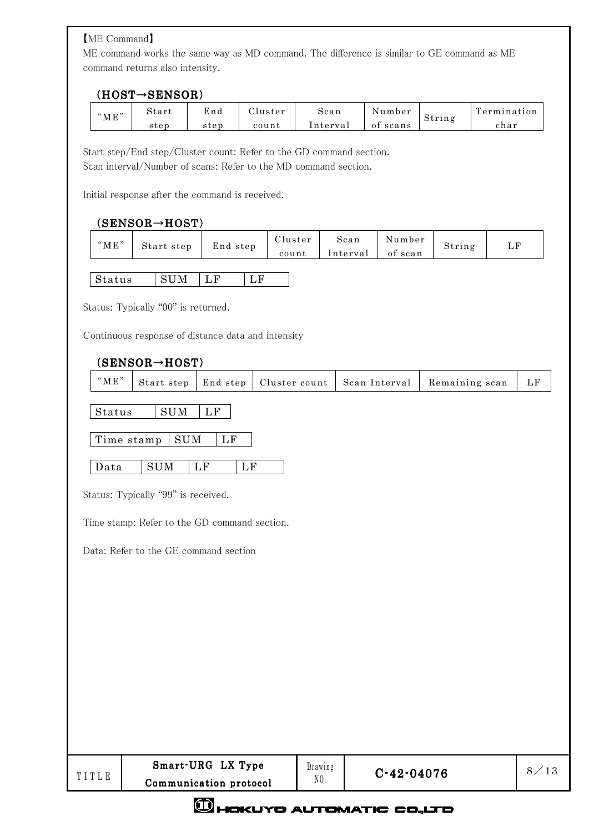## 【ME Command】

ME command works the same way as MD command. The difference is similar to GE command as ME command returns also intensity.

## $(HOST \rightarrow$  SENSOR)

| "МЕ" | start | End  | luster | scan     | Number      | String | $\mathbf{r}$<br>l'ermination |
|------|-------|------|--------|----------|-------------|--------|------------------------------|
|      | step  | step | count  | lnterval | scans<br>оı |        | char                         |

Start step/End step/Cluster count: Refer to the GD command section. Scan interval/Number of scans: Refer to the MD command section.

Initial response after the command is received.

# (SENSOR→HOST)

| of scan<br>Interval<br>count | "ME" | Start step | End step | Cluster | Scan | Number | String | LF |
|------------------------------|------|------------|----------|---------|------|--------|--------|----|
|                              |      |            |          |         |      |        |        |    |

|  | 11 Q<br>ຼ |  |  |  |
|--|-----------|--|--|--|
|--|-----------|--|--|--|

Status: Typically "00" is returned.

Continuous response of distance data and intensity

### (SENSOR→HOST)

|  | "ME" |  |  |  |  | Start step   End step   Cluster count   Scan Interval   Remaining scan | – LF |
|--|------|--|--|--|--|------------------------------------------------------------------------|------|
|--|------|--|--|--|--|------------------------------------------------------------------------|------|

 $\text{Status}$  SUM LF

Time stamp  $\vert$  SUM  $\vert$  LF

Data SUM LF LF

Status: Typically "99" is received.

Time stamp: Refer to the GD command section.

Data: Refer to the GE command section

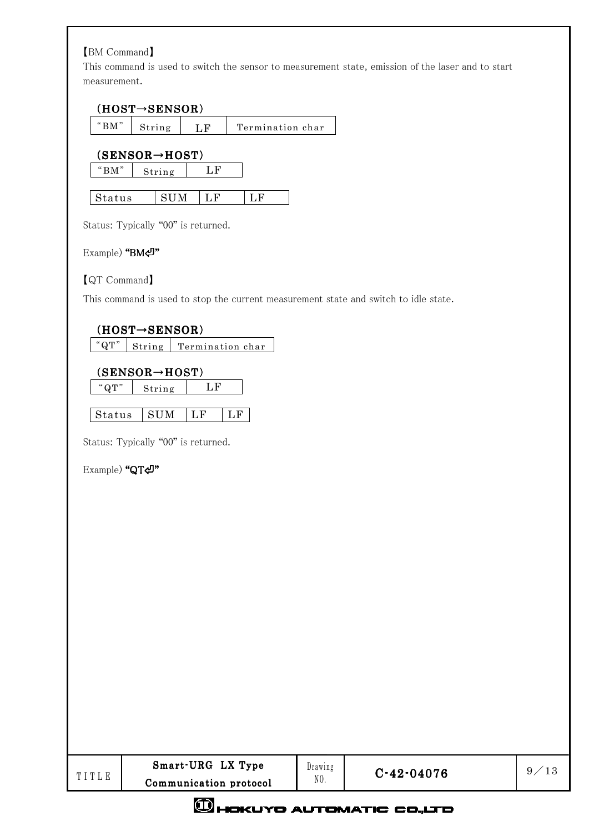# 【BM Command】

This command is used to switch the sensor to measurement state, emission of the laser and to start measurement.

# (HOST→SENSOR)

|--|

|      | $(SENSOR \rightarrow HOST)$ |  |  |  |  |  |  |
|------|-----------------------------|--|--|--|--|--|--|
| "RM" | String                      |  |  |  |  |  |  |

| $\mathbf{I}$<br>. . |  |  |
|---------------------|--|--|
|                     |  |  |

Status: Typically "00" is returned.

### Example) "BM⏎"

## 【QT Command】

This command is used to stop the current measurement state and switch to idle state.

# $(HOST \rightarrow$ <br>SENSOR)

 $\sqrt[4^n]{\frac{1}{12}}$  String Termination char

## (SENSOR→HOST)

"QT" String LF

| Status | - 9111<br>M |  |
|--------|-------------|--|

Status: Typically "00" is returned.

Example) "QT⏎"

| Smart-URG LX Type      | Drawing | C-19- |
|------------------------|---------|-------|
| Communication protocol | NO.     |       |

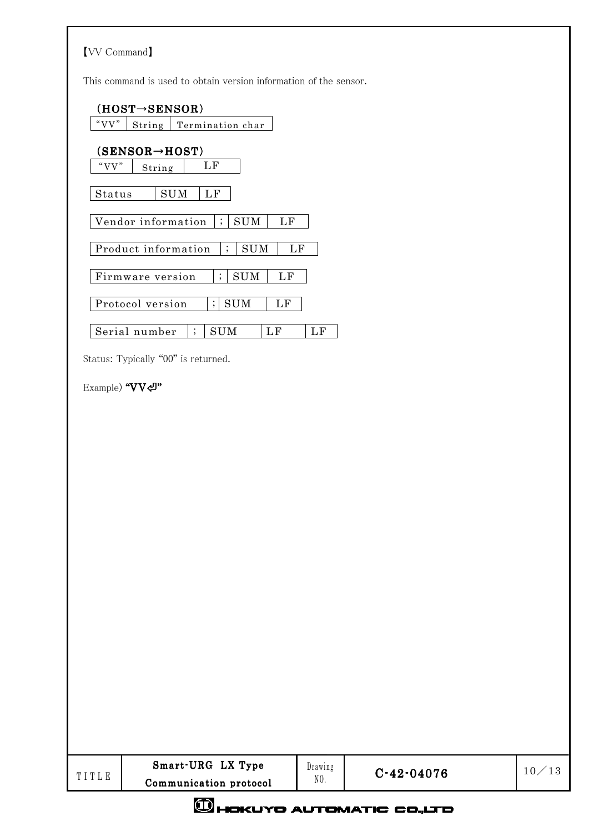| <b>[VV Command]</b> |                                                                                  |          |                  |       |
|---------------------|----------------------------------------------------------------------------------|----------|------------------|-------|
|                     | This command is used to obtain version information of the sensor.                |          |                  |       |
| "VV"                | $(HOST \rightarrow$ SENSOR)<br>String<br>Termination char                        |          |                  |       |
| "VV"                | $(SENSOR \rightarrow HOST)$<br>$\operatorname{LF}$<br>String                     |          |                  |       |
| Status              | $\mathop{\rm SUM}$<br>$\rm LF$                                                   |          |                  |       |
|                     | Vendor information<br>$\cdot$<br>SUM<br>LF                                       |          |                  |       |
|                     | Product information<br>$\vdots$<br>$\mathop{\rm SUM}$                            | LF       |                  |       |
|                     | $\vdots$<br>$\mathop{\rm SUM}$<br>Firmware version<br>$\rm LF$                   |          |                  |       |
|                     | $\vdots$<br>$\mathop{\rm SUM}$<br>Protocol version<br>$\mathop{\rm LF}\nolimits$ |          |                  |       |
|                     | Serial number<br>$\mathop{\rm SUM}$<br>$\rm LF$<br>$\vdots$                      | $\rm LF$ |                  |       |
|                     | Status: Typically "00" is returned.                                              |          |                  |       |
| Example) "VV~"      |                                                                                  |          |                  |       |
|                     |                                                                                  |          |                  |       |
|                     |                                                                                  |          |                  |       |
|                     |                                                                                  |          |                  |       |
|                     |                                                                                  |          |                  |       |
|                     |                                                                                  |          |                  |       |
|                     |                                                                                  |          |                  |       |
|                     |                                                                                  |          |                  |       |
|                     |                                                                                  |          |                  |       |
|                     |                                                                                  |          |                  |       |
|                     |                                                                                  |          |                  |       |
|                     |                                                                                  |          |                  |       |
|                     |                                                                                  |          |                  |       |
|                     |                                                                                  |          |                  |       |
|                     |                                                                                  |          |                  |       |
|                     | Smart-URG LX Type                                                                | Drawing  |                  |       |
| TITLE               | Communication protocol                                                           | $N0$ .   | $C - 42 - 04076$ | 10/13 |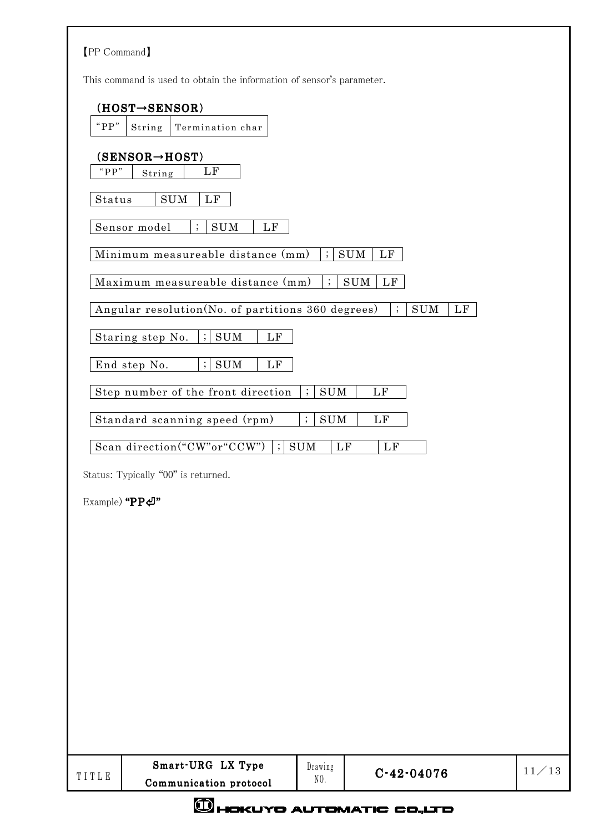| [PP Command]                                                                                 |       |
|----------------------------------------------------------------------------------------------|-------|
| This command is used to obtain the information of sensor's parameter.                        |       |
| $(HOST \rightarrow$ SENSOR)                                                                  |       |
| " $PP$ "<br>Termination char<br>String                                                       |       |
| $(SENSOR \rightarrow HOST)$<br>" $PP$ "<br>LF<br>String                                      |       |
| $\mathop{\rm SUM}$<br>LF<br>Status                                                           |       |
| Sensor model<br><b>SUM</b><br>LF<br>$\vdots$                                                 |       |
| $\vdots$<br>SUM<br>LF<br>Minimum measureable distance (mm)                                   |       |
| $\vdots$<br><b>SUM</b><br>LF<br>Maximum measureable distance (mm)                            |       |
| Angular resolution(No. of partitions 360 degrees)<br>$\vdots$<br>$\mathop{\rm SUM}$<br>LF    |       |
| $\vdots$<br><b>SUM</b><br>Staring step No.<br>$\mathop{\rm LF}\nolimits$                     |       |
| End step No.<br>$\vdots$<br>$\mathop{\rm SUM}$<br>LF                                         |       |
| $\vdots$<br>Step number of the front direction<br><b>SUM</b><br>LF                           |       |
| Standard scanning speed (rpm)<br>$\vdots$<br><b>SUM</b><br>LF                                |       |
| Scan direction("CW"or"CCW")<br>$\cdot$<br>$\mathop{\rm SUM}$<br>$\mathbf{L}\mathbf{F}$<br>LF |       |
| Status: Typically "00" is returned.                                                          |       |
| Example) "PP섹"                                                                               |       |
|                                                                                              |       |
|                                                                                              |       |
|                                                                                              |       |
|                                                                                              |       |
|                                                                                              |       |
|                                                                                              |       |
|                                                                                              |       |
|                                                                                              |       |
|                                                                                              |       |
|                                                                                              |       |
| Smart-URG LX Type<br>Drawing<br>$C-42-04076$<br>TITLE<br>$N0$ .<br>Communication protocol    | 11/13 |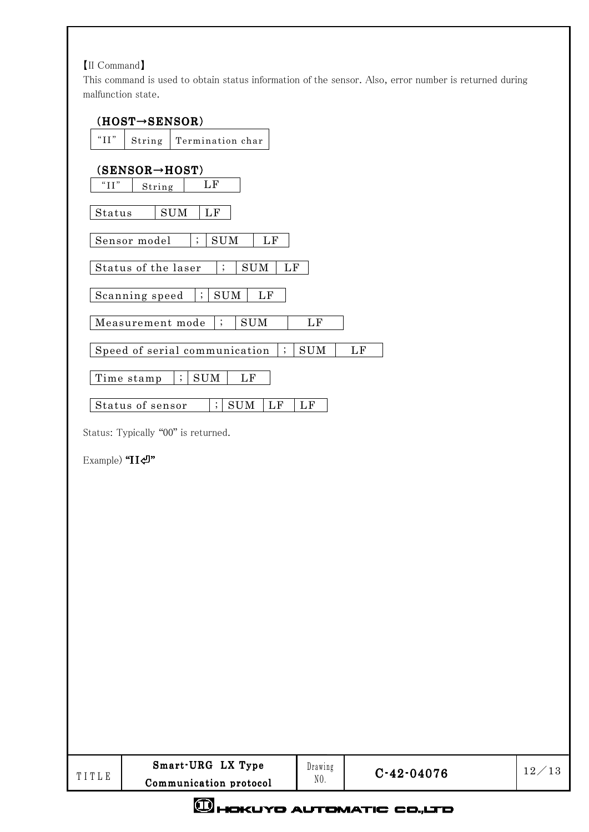# 【II Command】

This command is used to obtain status information of the sensor. Also, error number is returned during malfunction state.

| TITLE                            | Smart-URG LX Type<br>Communication protocol                                                                 | Drawing<br>NO.         | $C-42-04076$ | 12/13 |
|----------------------------------|-------------------------------------------------------------------------------------------------------------|------------------------|--------------|-------|
|                                  |                                                                                                             |                        |              |       |
|                                  |                                                                                                             |                        |              |       |
|                                  |                                                                                                             |                        |              |       |
|                                  |                                                                                                             |                        |              |       |
|                                  |                                                                                                             |                        |              |       |
|                                  |                                                                                                             |                        |              |       |
|                                  |                                                                                                             |                        |              |       |
|                                  |                                                                                                             |                        |              |       |
|                                  |                                                                                                             |                        |              |       |
| Example) "IIー"                   |                                                                                                             |                        |              |       |
|                                  | Status: Typically "00" is returned.                                                                         |                        |              |       |
|                                  | $\vdots$<br>LF<br>$\mathop{\rm SUM}$<br>Status of sensor                                                    | LF                     |              |       |
|                                  | $\ddot{ }$<br>$\mathop{\rm SUM}$<br>LF<br>Time stamp                                                        |                        |              |       |
|                                  | Speed of serial communication<br>$\vdots$                                                                   | $\mathop{\rm SUM}$     | LF           |       |
|                                  | Scanning speed<br>$\mathop{\rm SUM}$<br>Measurement mode<br>$\vdots$                                        | $\mathbf{L}\mathbf{F}$ |              |       |
|                                  | Status of the laser<br>$\vdots$<br>$\mathop{\rm SUM}$<br>LF<br>$\ddot{z}$<br>$\mathop{\rm SUM}$<br>$\rm LF$ |                        |              |       |
|                                  | Sensor model<br>$\vdots$<br>$\mathop{\rm SUM}$<br>$\rm LF$                                                  |                        |              |       |
| Status                           | $\mathop{\rm SUM}$<br>$\rm LF$                                                                              |                        |              |       |
| " $\amalg\mskip-5mu\mathrm{I}$ " | $\operatorname{LF}$<br>String                                                                               |                        |              |       |
|                                  | $(SENSOR \rightarrow HOST)$                                                                                 |                        |              |       |
| " $\mathrm{II}$ "                | Termination char<br>String                                                                                  |                        |              |       |
|                                  | $(HOST \rightarrow$ SENSOR)                                                                                 |                        |              |       |